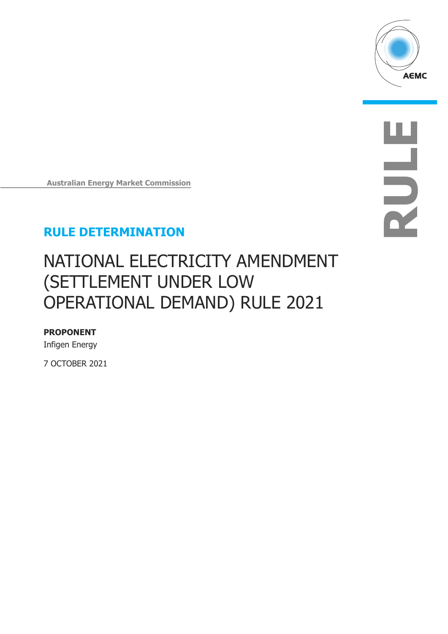

**RULE**

**Australian Energy Market Commission**

## **RULE DETERMINATION**

# NATIONAL ELECTRICITY AMENDMENT (SETTLEMENT UNDER LOW OPERATIONAL DEMAND) RULE 2021

### **PROPONENT**

Infigen Energy

7 OCTOBER 2021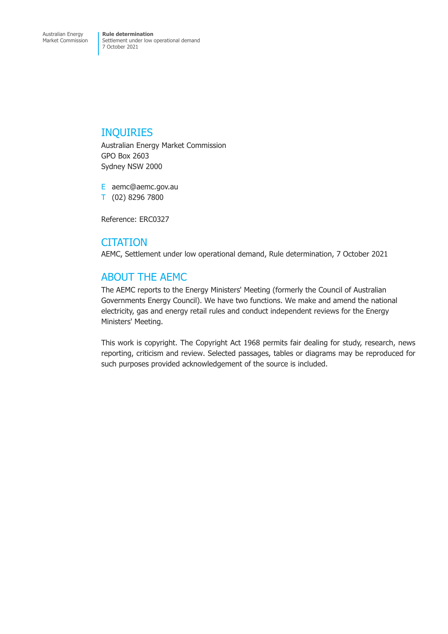## INQUIRIES

Australian Energy Market Commission GPO Box 2603 Sydney NSW 2000

E aemc@aemc.gov.au T (02) 8296 7800

Reference: ERC0327

### **CITATION**

AEMC, Settlement under low operational demand, Rule determination, 7 October 2021

## ABOUT THE AEMC

The AEMC reports to the Energy Ministers' Meeting (formerly the Council of Australian Governments Energy Council). We have two functions. We make and amend the national electricity, gas and energy retail rules and conduct independent reviews for the Energy Ministers' Meeting.

This work is copyright. The Copyright Act 1968 permits fair dealing for study, research, news reporting, criticism and review. Selected passages, tables or diagrams may be reproduced for such purposes provided acknowledgement of the source is included.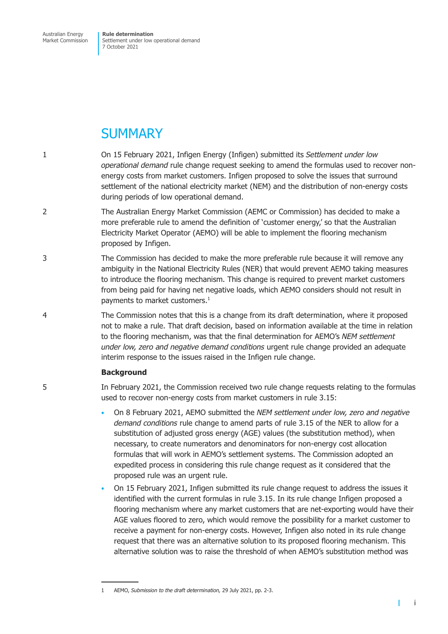Australian Energy Market Commission **Rule determination** Settlement under low operational demand 7 October 2021

## **SUMMARY**

- 1 On 15 February 2021, Infigen Energy (Infigen) submitted its *Settlement under low operational demand* rule change request seeking to amend the formulas used to recover nonenergy costs from market customers. Infigen proposed to solve the issues that surround settlement of the national electricity market (NEM) and the distribution of non-energy costs during periods of low operational demand.
- 2 The Australian Energy Market Commission (AEMC or Commission) has decided to make a more preferable rule to amend the definition of 'customer energy,' so that the Australian Electricity Market Operator (AEMO) will be able to implement the flooring mechanism proposed by Infigen.
- 3 The Commission has decided to make the more preferable rule because it will remove any ambiguity in the National Electricity Rules (NER) that would prevent AEMO taking measures to introduce the flooring mechanism. This change is required to prevent market customers from being paid for having net negative loads, which AEMO considers should not result in payments to market customers.<sup>1</sup>
- 4 The Commission notes that this is a change from its draft determination, where it proposed not to make a rule. That draft decision, based on information available at the time in relation to the flooring mechanism, was that the final determination for AEMO's *NEM settlement under low, zero and negative demand conditions* urgent rule change provided an adequate interim response to the issues raised in the Infigen rule change.

### **Background**

### 5 In February 2021, the Commission received two rule change requests relating to the formulas used to recover non-energy costs from market customers in rule 3.15:

- On 8 February 2021, AEMO submitted the *NEM settlement under low, zero and negative demand conditions* rule change to amend parts of rule 3.15 of the NER to allow for a substitution of adjusted gross energy (AGE) values (the substitution method), when necessary, to create numerators and denominators for non-energy cost allocation formulas that will work in AEMO's settlement systems. The Commission adopted an expedited process in considering this rule change request as it considered that the proposed rule was an urgent rule.
- On 15 February 2021, Infigen submitted its rule change request to address the issues it identified with the current formulas in rule 3.15. In its rule change Infigen proposed a flooring mechanism where any market customers that are net-exporting would have their AGE values floored to zero, which would remove the possibility for a market customer to receive a payment for non-energy costs. However, Infigen also noted in its rule change request that there was an alternative solution to its proposed flooring mechanism. This alternative solution was to raise the threshold of when AEMO's substitution method was

т

<sup>1</sup> AEMO, *Submission to the draft determination,* 29 July 2021, pp. 2-3.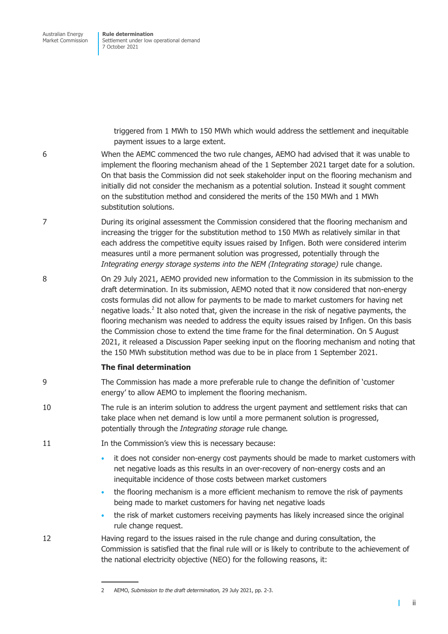> triggered from 1 MWh to 150 MWh which would address the settlement and inequitable payment issues to a large extent.

- 6 When the AEMC commenced the two rule changes, AEMO had advised that it was unable to implement the flooring mechanism ahead of the 1 September 2021 target date for a solution. On that basis the Commission did not seek stakeholder input on the flooring mechanism and initially did not consider the mechanism as a potential solution. Instead it sought comment on the substitution method and considered the merits of the 150 MWh and 1 MWh substitution solutions.
- 7 During its original assessment the Commission considered that the flooring mechanism and increasing the trigger for the substitution method to 150 MWh as relatively similar in that each address the competitive equity issues raised by Infigen. Both were considered interim measures until a more permanent solution was progressed, potentially through the *Integrating energy storage systems into the NEM (Integrating storage)* rule change.
- 8 On 29 July 2021, AEMO provided new information to the Commission in its submission to the draft determination. In its submission, AEMO noted that it now considered that non-energy costs formulas did not allow for payments to be made to market customers for having net negative loads.<sup>2</sup> It also noted that, given the increase in the risk of negative payments, the flooring mechanism was needed to address the equity issues raised by Infigen. On this basis the Commission chose to extend the time frame for the final determination. On 5 August 2021, it released a Discussion Paper seeking input on the flooring mechanism and noting that the 150 MWh substitution method was due to be in place from 1 September 2021.

### **The final determination**

- 9 The Commission has made a more preferable rule to change the definition of 'customer energy' to allow AEMO to implement the flooring mechanism.
- 10 The rule is an interim solution to address the urgent payment and settlement risks that can take place when net demand is low until a more permanent solution is progressed, potentially through the *Integrating storage* rule change*.*
- 11 **In the Commission's view this is necessary because:** 
	- it does not consider non-energy cost payments should be made to market customers with net negative loads as this results in an over-recovery of non-energy costs and an inequitable incidence of those costs between market customers
	- the flooring mechanism is a more efficient mechanism to remove the risk of payments being made to market customers for having net negative loads
	- the risk of market customers receiving payments has likely increased since the original rule change request.

12 Having regard to the issues raised in the rule change and during consultation, the Commission is satisfied that the final rule will or is likely to contribute to the achievement of the national electricity objective (NEO) for the following reasons, it:

T

<sup>2</sup> AEMO, *Submission to the draft determination,* 29 July 2021, pp. 2-3.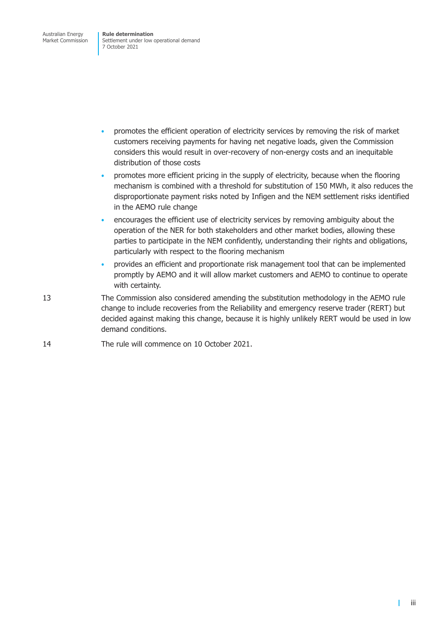- promotes the efficient operation of electricity services by removing the risk of market customers receiving payments for having net negative loads, given the Commission considers this would result in over-recovery of non-energy costs and an inequitable distribution of those costs
- promotes more efficient pricing in the supply of electricity, because when the flooring mechanism is combined with a threshold for substitution of 150 MWh, it also reduces the disproportionate payment risks noted by Infigen and the NEM settlement risks identified in the AEMO rule change
- encourages the efficient use of electricity services by removing ambiguity about the operation of the NER for both stakeholders and other market bodies, allowing these parties to participate in the NEM confidently, understanding their rights and obligations, particularly with respect to the flooring mechanism
- provides an efficient and proportionate risk management tool that can be implemented promptly by AEMO and it will allow market customers and AEMO to continue to operate with certainty.
- 13 The Commission also considered amending the substitution methodology in the AEMO rule change to include recoveries from the Reliability and emergency reserve trader (RERT) but decided against making this change, because it is highly unlikely RERT would be used in low demand conditions.

### 14 The rule will commence on 10 October 2021.

т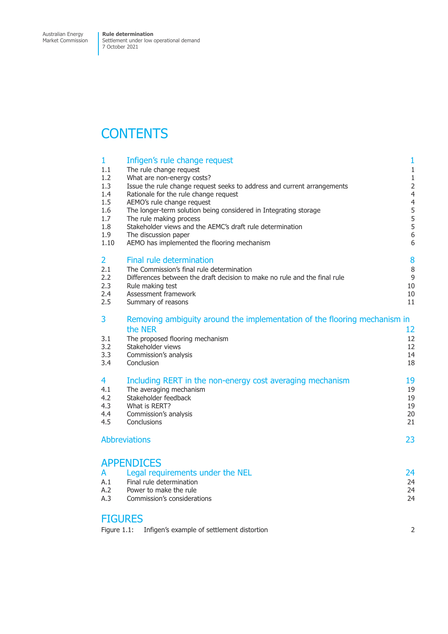## **CONTENTS**

| 1              | Infigen's rule change request                                             | 1                                |
|----------------|---------------------------------------------------------------------------|----------------------------------|
| 1.1            | The rule change request                                                   | $\mathbf{1}$                     |
| 1.2            | What are non-energy costs?                                                | $\mathbf{1}$                     |
| 1.3            | Issue the rule change request seeks to address and current arrangements   | $\overline{2}$                   |
| 1.4<br>1.5     | Rationale for the rule change request<br>AEMO's rule change request       | $\overline{4}$<br>$\overline{4}$ |
| 1.6            | The longer-term solution being considered in Integrating storage          | 5                                |
| 1.7            | The rule making process                                                   | 5                                |
| 1.8            | Stakeholder views and the AEMC's draft rule determination                 | 5                                |
| 1.9            | The discussion paper                                                      | 6                                |
| 1.10           | AEMO has implemented the flooring mechanism                               | 6                                |
| $\overline{2}$ | Final rule determination                                                  | 8                                |
| 2.1            | The Commission's final rule determination                                 | 8                                |
| 2.2            | Differences between the draft decision to make no rule and the final rule | 9                                |
| 2.3            | Rule making test                                                          | 10                               |
| 2.4            | Assessment framework                                                      | 10                               |
| 2.5            | Summary of reasons                                                        | 11                               |
| 3              | Removing ambiguity around the implementation of the flooring mechanism in |                                  |
|                | the NER                                                                   | 12                               |
| 3.1            | The proposed flooring mechanism                                           | 12                               |
| 3.2            | Stakeholder views                                                         | 12                               |
| 3.3<br>3.4     | Commission's analysis<br>Conclusion                                       | 14<br>18                         |
|                |                                                                           |                                  |
| 4              | Including RERT in the non-energy cost averaging mechanism                 | 19                               |
| 4.1            | The averaging mechanism                                                   | 19                               |
| 4.2            | Stakeholder feedback                                                      | 19                               |
| 4.3            | What is RERT?                                                             | 19                               |
| 4.4            | Commission's analysis                                                     | 20                               |
| 4.5            | Conclusions                                                               | 21                               |
|                | <b>Abbreviations</b>                                                      | 23                               |
|                |                                                                           |                                  |
|                | <b>APPENDICES</b>                                                         |                                  |
| A              | Legal requirements under the NEL                                          | 24                               |
| A.1<br>A.2     | Final rule determination<br>Power to make the rule                        | 24                               |
| A.3            | Commission's considerations                                               | 24<br>24                         |
|                |                                                                           |                                  |
| <b>FIGURES</b> |                                                                           |                                  |
|                |                                                                           |                                  |

|  | Figure 1.1: Infigen's example of settlement distortion |  |
|--|--------------------------------------------------------|--|
|--|--------------------------------------------------------|--|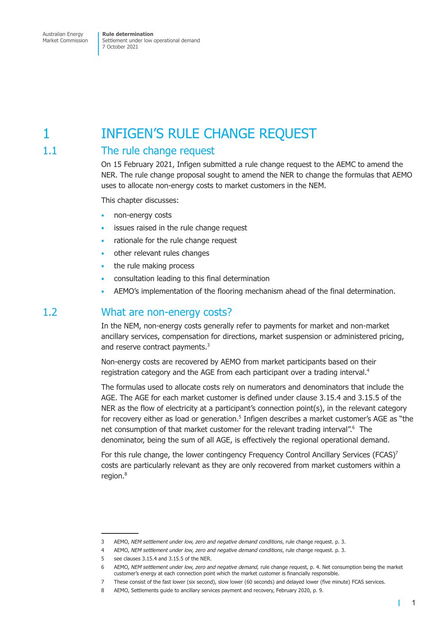## <span id="page-6-0"></span>1 **INFIGEN'S RULE CHANGE REQUEST**

## 1.1 The rule change request

On 15 February 2021, Infigen submitted a rule change request to the AEMC to amend the NER. The rule change proposal sought to amend the NER to change the formulas that AEMO uses to allocate non-energy costs to market customers in the NEM.

This chapter discusses:

- non-energy costs
- issues raised in the rule change request
- rationale for the rule change request
- other relevant rules changes
- the rule making process
- consultation leading to this final determination
- AEMO's implementation of the flooring mechanism ahead of the final determination.

### 1.2 What are non-energy costs?

In the NEM, non-energy costs generally refer to payments for market and non-market ancillary services, compensation for directions, market suspension or administered pricing, and reserve contract payments.<sup>3</sup>

Non-energy costs are recovered by AEMO from market participants based on their registration category and the AGE from each participant over a trading interval.<sup>4</sup>

The formulas used to allocate costs rely on numerators and denominators that include the AGE. The AGE for each market customer is defined under clause 3.15.4 and 3.15.5 of the NER as the flow of electricity at a participant's connection point(s), in the relevant category for recovery either as load or generation.<sup>5</sup> Infigen describes a market customer's AGE as "the net consumption of that market customer for the relevant trading interval".<sup>6</sup> The denominator, being the sum of all AGE, is effectively the regional operational demand.

For this rule change, the lower contingency Frequency Control Ancillary Services (FCAS)<sup>7</sup> costs are particularly relevant as they are only recovered from market customers within a region.<sup>8</sup>

 $\mathbf{I}$ 

<sup>3</sup> AEMO, *NEM settlement under low, zero and negative demand conditions*, rule change request. p. 3.

<sup>4</sup> AEMO, *NEM settlement under low, zero and negative demand conditions*, rule change request. p. 3.

<sup>5</sup> see clauses 3.15.4 and 3.15.5 of the NER.

<sup>6</sup> AEMO, *NEM settlement under low, zero and negative demand,* rule change request, p. 4. Net consumption being the market customer's energy at each connection point which the market customer is financially responsible.

<sup>7</sup> These consist of the fast lower (six second), slow lower (60 seconds) and delayed lower (five minute) FCAS services.

<sup>8</sup> AEMO, Settlements guide to ancillary services payment and recovery, February 2020, p. 9.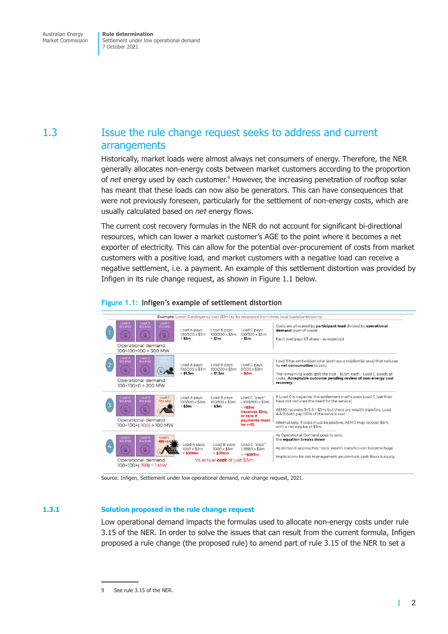## <span id="page-7-0"></span>1.3 Issue the rule change request seeks to address and current arrangements

Historically, market loads were almost always net consumers of energy. Therefore, the NER generally allocates non-energy costs between market customers according to the proportion of *net* energy used by each customer.<sup>9</sup> However, the increasing penetration of rooftop solar has meant that these loads can now also be generators. This can have consequences that were not previously foreseen, particularly for the settlement of non-energy costs, which are usually calculated based on *net* energy flows.

The current cost recovery formulas in the NER do not account for significant bi-directional resources, which can lower a market customer's AGE to the point where it becomes a net exporter of electricity. This can allow for the potential over-procurement of costs from market customers with a positive load, and market customers with a negative load can receive a negative settlement, i.e. a payment. An example of this settlement distortion was provided by Infigen in its rule change request, as shown in [Figure 1.1](#page-7-1) below.





Source: Infigen, Settlement under low operational demand, rule change request, 2021.

### **1.3.1 Solution proposed in the rule change request**

Low operational demand impacts the formulas used to allocate non-energy costs under rule 3.15 of the NER. In order to solve the issues that can result from the current formula, Infigen proposed a rule change (the proposed rule) to amend part of rule 3.15 of the NER to set a

<span id="page-7-2"></span><span id="page-7-1"></span>T

See rule 3.15 of the NER.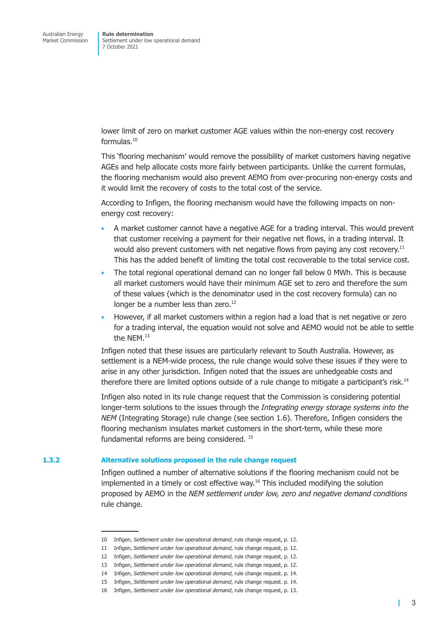lower limit of zero on market customer AGE values within the non-energy cost recovery formulas.10

This 'flooring mechanism' would remove the possibility of market customers having negative AGEs and help allocate costs more fairly between participants. Unlike the current formulas, the flooring mechanism would also prevent AEMO from over-procuring non-energy costs and it would limit the recovery of costs to the total cost of the service.

According to Infigen, the flooring mechanism would have the following impacts on nonenergy cost recovery:

- A market customer cannot have a negative AGE for a trading interval. This would prevent that customer receiving a payment for their negative net flows, in a trading interval. It would also prevent customers with net negative flows from paying any cost recovery.<sup>11</sup> This has the added benefit of limiting the total cost recoverable to the total service cost.
- The total regional operational demand can no longer fall below 0 MWh. This is because all market customers would have their minimum AGE set to zero and therefore the sum of these values (which is the denominator used in the cost recovery formula) can no longer be a number less than zero.<sup>12</sup>
- However, if all market customers within a region had a load that is net negative or zero for a trading interval, the equation would not solve and AEMO would not be able to settle the NEM.13

Infigen noted that these issues are particularly relevant to South Australia. However, as settlement is a NEM-wide process, the rule change would solve these issues if they were to arise in any other jurisdiction. Infigen noted that the issues are unhedgeable costs and therefore there are limited options outside of a rule change to mitigate a participant's risk.<sup>14</sup>

Infigen also noted in its rule change request that the Commission is considering potential longer-term solutions to the issues through the *Integrating energy storage systems into the NEM* (Integrating Storage) rule change (see [section 1.6\)](#page-10-1). Therefore, Infigen considers the flooring mechanism insulates market customers in the short-term, while these more fundamental reforms are being considered. 15

#### **1.3.2 Alternative solutions proposed in the rule change request**

Infigen outlined a number of alternative solutions if the flooring mechanism could not be implemented in a timely or cost effective way. $16$  This included modifying the solution proposed by AEMO in the *NEM settlement under low, zero and negative demand conditions* rule change.

<sup>10</sup> Infigen, *Settlement under low operational demand*, rule change request, p. 12.

<sup>11</sup> Infigen, *Settlement under low operational demand*, rule change request, p. 12.

<sup>12</sup> Infigen, *Settlement under low operational demand*, rule change request, p. 12.

<sup>13</sup> Infigen, *Settlement under low operational demand*, rule change request, p. 12.

<sup>14</sup> Infigen, *Settlement under low operational demand*, rule change request. p. 14.

<sup>15</sup> Infigen, *Settlement under low operational demand*, rule change request. p. 14.

<sup>16</sup> Infigen, *Settlement under low operational demand*, rule change request, p. 13.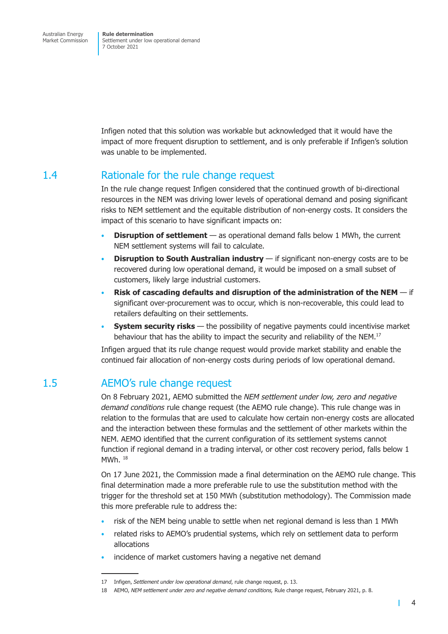<span id="page-9-0"></span>Infigen noted that this solution was workable but acknowledged that it would have the impact of more frequent disruption to settlement, and is only preferable if Infigen's solution was unable to be implemented.

## 1.4 Rationale for the rule change request

In the rule change request Infigen considered that the continued growth of bi-directional resources in the NEM was driving lower levels of operational demand and posing significant risks to NEM settlement and the equitable distribution of non-energy costs. It considers the impact of this scenario to have significant impacts on:

- **Disruption of settlement**  as operational demand falls below 1 MWh, the current NEM settlement systems will fail to calculate.
- **Disruption to South Australian industry** if significant non-energy costs are to be recovered during low operational demand, it would be imposed on a small subset of customers, likely large industrial customers.
- **Risk of cascading defaults and disruption of the administration of the NEM**  if significant over-procurement was to occur, which is non-recoverable, this could lead to retailers defaulting on their settlements.
- **System security risks** the possibility of negative payments could incentivise market behaviour that has the ability to impact the security and reliability of the NEM.<sup>17</sup>

Infigen argued that its rule change request would provide market stability and enable the continued fair allocation of non-energy costs during periods of low operational demand.

## 1.5 AEMO's rule change request

On 8 February 2021, AEMO submitted the *NEM settlement under low, zero and negative demand conditions* rule change request (the AEMO rule change). This rule change was in relation to the formulas that are used to calculate how certain non-energy costs are allocated and the interaction between these formulas and the settlement of other markets within the NEM. AEMO identified that the current configuration of its settlement systems cannot function if regional demand in a trading interval, or other cost recovery period, falls below 1 MWh. 18

On 17 June 2021, the Commission made a final determination on the AEMO rule change. This final determination made a more preferable rule to use the substitution method with the trigger for the threshold set at 150 MWh (substitution methodology). The Commission made this more preferable rule to address the:

- risk of the NEM being unable to settle when net regional demand is less than 1 MWh
- related risks to AEMO's prudential systems, which rely on settlement data to perform allocations
- incidence of market customers having a negative net demand

<span id="page-9-1"></span>т

<sup>17</sup> Infigen, *Settlement under low operational demand*, rule change request, p. 13.

<sup>18</sup> AEMO, *NEM settlement under zero and negative demand conditions,* Rule change request, February 2021, p. 8.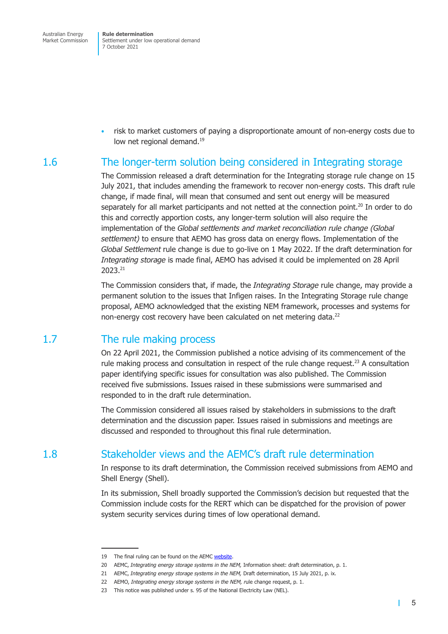<span id="page-10-0"></span>Australian Energy Market Commission **Rule determination** Settlement under low operational demand 7 October 2021

• risk to market customers of paying a disproportionate amount of non-energy costs due to low net regional demand.<sup>19</sup>

## 1.6 The longer-term solution being considered in Integrating storage

<span id="page-10-1"></span>The Commission released a draft determination for the Integrating storage rule change on 15 July 2021, that includes amending the framework to recover non-energy costs. This draft rule change, if made final, will mean that consumed and sent out energy will be measured separately for all market participants and not netted at the connection point.<sup>20</sup> In order to do this and correctly apportion costs, any longer-term solution will also require the implementation of the *Global settlements and market reconciliation rule change (Global settlement)* to ensure that AEMO has gross data on energy flows. Implementation of the *Global Settlement* rule change is due to go-live on 1 May 2022. If the draft determination for *Integrating storage* is made final, AEMO has advised it could be implemented on 28 April 2023.21

The Commission considers that, if made, the *Integrating Storage* rule change, may provide a permanent solution to the issues that Infigen raises. In the Integrating Storage rule change proposal, AEMO acknowledged that the existing NEM framework, processes and systems for non-energy cost recovery have been calculated on net metering data.<sup>22</sup>

## 1.7 The rule making process

On 22 April 2021, the Commission published a notice advising of its commencement of the rule making process and consultation in respect of the rule change request.<sup>23</sup> A consultation paper identifying specific issues for consultation was also published. The Commission received five submissions. Issues raised in these submissions were summarised and responded to in the draft rule determination.

The Commission considered all issues raised by stakeholders in submissions to the draft determination and the discussion paper. Issues raised in submissions and meetings are discussed and responded to throughout this final rule determination.

## 1.8 Stakeholder views and the AEMC's draft rule determination

<span id="page-10-2"></span>In response to its draft determination, the Commission received submissions from AEMO and Shell Energy (Shell).

In its submission, Shell broadly supported the Commission's decision but requested that the Commission include costs for the RERT which can be dispatched for the provision of power system security services during times of low operational demand.

<sup>19</sup> The final ruling can be found on the AEMC [website.](https://www.aemc.gov.au/rule-changes/nem-settlement-under-low-zero-and-negative-demand-conditions)

<sup>20</sup> AEMC, *Integrating energy storage systems in the NEM,* Information sheet: draft determination, p. 1.

<sup>21</sup> AEMC, *Integrating energy storage systems in the NEM,* Draft determination, 15 July 2021, p. ix.

<sup>22</sup> AEMO, *Integrating energy storage systems in the NEM, r*ule change request, p. 1.

<sup>23</sup> This notice was published under s. 95 of the National Electricity Law (NEL).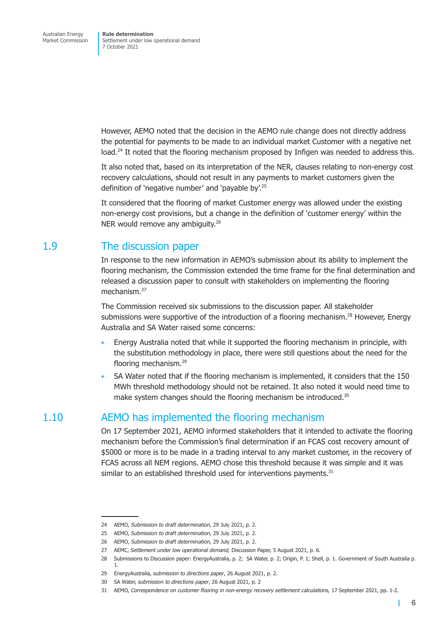<span id="page-11-0"></span>However, AEMO noted that the decision in the AEMO rule change does not directly address the potential for payments to be made to an individual market Customer with a negative net load.<sup>24</sup> It noted that the flooring mechanism proposed by Infigen was needed to address this.

It also noted that, based on its interpretation of the NER, clauses relating to non-energy cost recovery calculations, should not result in any payments to market customers given the definition of 'negative number' and 'payable by'.25

It considered that the flooring of market Customer energy was allowed under the existing non-energy cost provisions, but a change in the definition of 'customer energy' within the NER would remove any ambiguity.<sup>26</sup>

## 1.9 The discussion paper

In response to the new information in AEMO's submission about its ability to implement the flooring mechanism, the Commission extended the time frame for the final determination and released a discussion paper to consult with stakeholders on implementing the flooring mechanism.27

The Commission received six submissions to the discussion paper. All stakeholder submissions were supportive of the introduction of a flooring mechanism.<sup>28</sup> However, Energy Australia and SA Water raised some concerns:

- Energy Australia noted that while it supported the flooring mechanism in principle, with the substitution methodology in place, there were still questions about the need for the flooring mechanism.29
- SA Water noted that if the flooring mechanism is implemented, it considers that the 150 MWh threshold methodology should not be retained. It also noted it would need time to make system changes should the flooring mechanism be introduced.<sup>30</sup>

## 1.10 AEMO has implemented the flooring mechanism

On 17 September 2021, AEMO informed stakeholders that it intended to activate the flooring mechanism before the Commission's final determination if an FCAS cost recovery amount of \$5000 or more is to be made in a trading interval to any market customer, in the recovery of FCAS across all NEM regions. AEMO chose this threshold because it was simple and it was similar to an established threshold used for interventions payments.<sup>31</sup>

<span id="page-11-1"></span> $\mathbf{I}$ 

<sup>24</sup> AEMO, *Submission to draft determination*, 29 July 2021, p. 2.

<sup>25</sup> AEMO, *Submission to draft determination*, 29 July 2021, p. 2.

<sup>26</sup> AEMO, *Submission to draft determination*, 29 July 2021, p. 2.

<sup>27</sup> AEMC, *Settlement under low operational demand,* Discussion Paper, 5 August 2021, p. 6.

<sup>28</sup> Submissions to Discussion paper: EnergyAustralia, p. 2; SA Water, p. 2; Origin, P. 1; Shell, p. 1. Government of South Australia p. 1.

<sup>29</sup> EnergyAustralia, *submission to directions paper*, 26 August 2021, p. 2.

<sup>30</sup> SA Water, *submission to directions paper*, 26 August 2021, p. 2

<sup>31</sup> AEMO, *Correspondence on customer flooring in non-energy recovery settlement calculations,* 17 September 2021, pp. 1-2.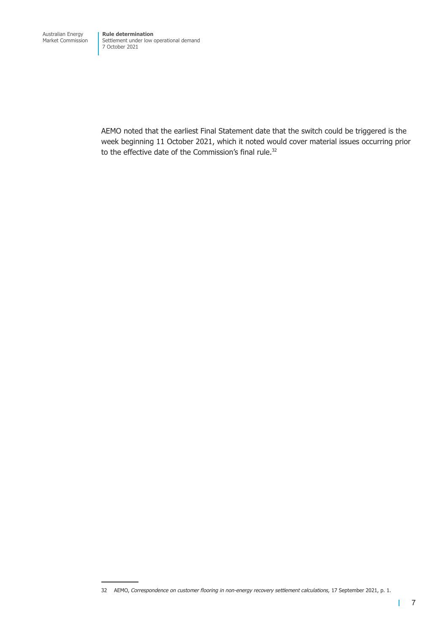AEMO noted that the earliest Final Statement date that the switch could be triggered is the week beginning 11 October 2021, which it noted would cover material issues occurring prior to the effective date of the Commission's final rule.<sup>32</sup>

32 AEMO, *Correspondence on customer flooring in non-energy recovery settlement calculations,* 17 September 2021, p. 1.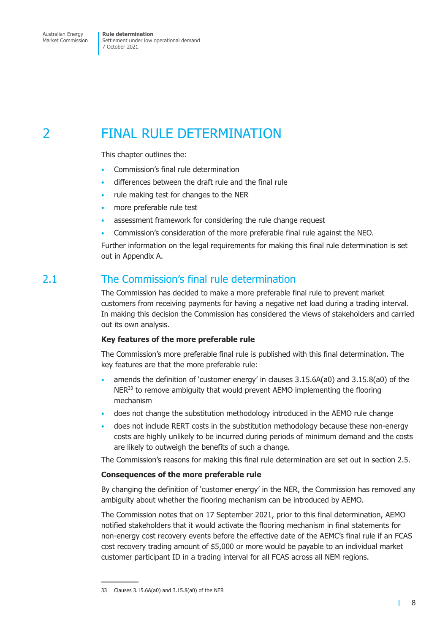## <span id="page-13-0"></span>2 FINAL RULE DETERMINATION

This chapter outlines the:

- Commission's final rule determination
- differences between the draft rule and the final rule
- rule making test for changes to the NER
- more preferable rule test
- assessment framework for considering the rule change request
- Commission's consideration of the more preferable final rule against the NEO.

Further information on the legal requirements for making this final rule determination is set out in Appendix A.

## 2.1 The Commission's final rule determination

The Commission has decided to make a more preferable final rule to prevent market customers from receiving payments for having a negative net load during a trading interval. In making this decision the Commission has considered the views of stakeholders and carried out its own analysis.

### **Key features of the more preferable rule**

The Commission's more preferable final rule is published with this final determination. The key features are that the more preferable rule:

- amends the definition of 'customer energy' in clauses 3.15.6A(a0) and 3.15.8(a0) of the  $NER<sup>33</sup>$  to remove ambiguity that would prevent AEMO implementing the flooring mechanism
- does not change the substitution methodology introduced in the AEMO rule change
- does not include RERT costs in the substitution methodology because these non-energy costs are highly unlikely to be incurred during periods of minimum demand and the costs are likely to outweigh the benefits of such a change.

The Commission's reasons for making this final rule determination are set out in [section 2.5.](#page-16-1)

### **Consequences of the more preferable rule**

By changing the definition of 'customer energy' in the NER, the Commission has removed any ambiguity about whether the flooring mechanism can be introduced by AEMO.

The Commission notes that on 17 September 2021, prior to this final determination, AEMO notified stakeholders that it would activate the flooring mechanism in final statements for non-energy cost recovery events before the effective date of the AEMC's final rule if an FCAS cost recovery trading amount of \$5,000 or more would be payable to an individual market customer participant ID in a trading interval for all FCAS across all NEM regions.

<span id="page-13-1"></span>т

<sup>33</sup> Clauses 3.15.6A(a0) and 3.15.8(a0) of the NER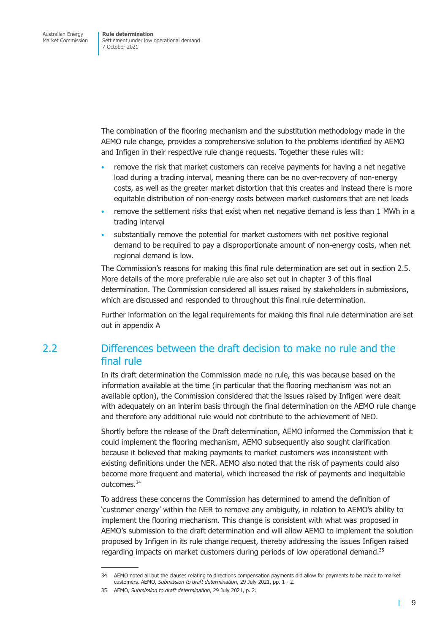<span id="page-14-0"></span>The combination of the flooring mechanism and the substitution methodology made in the AEMO rule change, provides a comprehensive solution to the problems identified by AEMO and Infigen in their respective rule change requests. Together these rules will:

- remove the risk that market customers can receive payments for having a net negative load during a trading interval, meaning there can be no over-recovery of non-energy costs, as well as the greater market distortion that this creates and instead there is more equitable distribution of non-energy costs between market customers that are net loads
- remove the settlement risks that exist when net negative demand is less than 1 MWh in a trading interval
- substantially remove the potential for market customers with net positive regional demand to be required to pay a disproportionate amount of non-energy costs, when net regional demand is low.

The Commission's reasons for making this final rule determination are set out in [section 2.5.](#page-16-1) More details of the more preferable rule are also set out in chapter 3 of this final determination. The Commission considered all issues raised by stakeholders in submissions, which are discussed and responded to throughout this final rule determination.

Further information on the legal requirements for making this final rule determination are set out in [appendix A](#page-29-1)

## 2.2 Differences between the draft decision to make no rule and the final rule

In its draft determination the Commission made no rule, this was because based on the information available at the time (in particular that the flooring mechanism was not an available option), the Commission considered that the issues raised by Infigen were dealt with adequately on an interim basis through the final determination on the AEMO rule change and therefore any additional rule would not contribute to the achievement of NEO.

Shortly before the release of the Draft determination, AEMO informed the Commission that it could implement the flooring mechanism, AEMO subsequently also sought clarification because it believed that making payments to market customers was inconsistent with existing definitions under the NER. AEMO also noted that the risk of payments could also become more frequent and material, which increased the risk of payments and inequitable outcomes.34

To address these concerns the Commission has determined to amend the definition of 'customer energy' within the NER to remove any ambiguity, in relation to AEMO's ability to implement the flooring mechanism. This change is consistent with what was proposed in AEMO's submission to the draft determination and will allow AEMO to implement the solution proposed by Infigen in its rule change request, thereby addressing the issues Infigen raised regarding impacts on market customers during periods of low operational demand.<sup>35</sup>

 $\mathbf{I}$ 

<sup>34</sup> AEMO noted all but the clauses relating to directions compensation payments did allow for payments to be made to market customers. AEMO, *Submission to draft determination*, 29 July 2021, pp. 1 - 2.

<sup>35</sup> AEMO, *Submission to draft determination*, 29 July 2021, p. 2.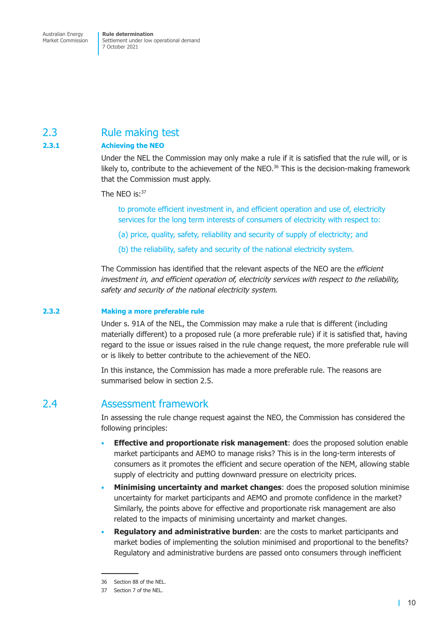## <span id="page-15-0"></span>2.3 Rule making test

### **2.3.1 Achieving the NEO**

Under the NEL the Commission may only make a rule if it is satisfied that the rule will, or is likely to, contribute to the achievement of the NEO. $36$  This is the decision-making framework that the Commission must apply.

The NEO is:<sup>37</sup>

to promote efficient investment in, and efficient operation and use of, electricity services for the long term interests of consumers of electricity with respect to:

- (a) price, quality, safety, reliability and security of supply of electricity; and
- (b) the reliability, safety and security of the national electricity system.

The Commission has identified that the relevant aspects of the NEO are the *efficient investment in, and efficient operation of, electricity services with respect to the reliability, safety and security of the national electricity system.*

#### **2.3.2 Making a more preferable rule**

Under s. 91A of the NEL, the Commission may make a rule that is different (including materially different) to a proposed rule (a more preferable rule) if it is satisfied that, having regard to the issue or issues raised in the rule change request, the more preferable rule will or is likely to better contribute to the achievement of the NEO.

In this instance, the Commission has made a more preferable rule. The reasons are summarised below in [section 2.5.](#page-16-1)

### 2.4 Assessment framework

In assessing the rule change request against the NEO, the Commission has considered the following principles:

- **Effective and proportionate risk management**: does the proposed solution enable market participants and AEMO to manage risks? This is in the long-term interests of consumers as it promotes the efficient and secure operation of the NEM, allowing stable supply of electricity and putting downward pressure on electricity prices.
- **Minimising uncertainty and market changes**: does the proposed solution minimise uncertainty for market participants and AEMO and promote confidence in the market? Similarly, the points above for effective and proportionate risk management are also related to the impacts of minimising uncertainty and market changes.
- **Regulatory and administrative burden**: are the costs to market participants and market bodies of implementing the solution minimised and proportional to the benefits? Regulatory and administrative burdens are passed onto consumers through inefficient

<sup>36</sup> Section 88 of the NEL.

<sup>37</sup> Section 7 of the NEL.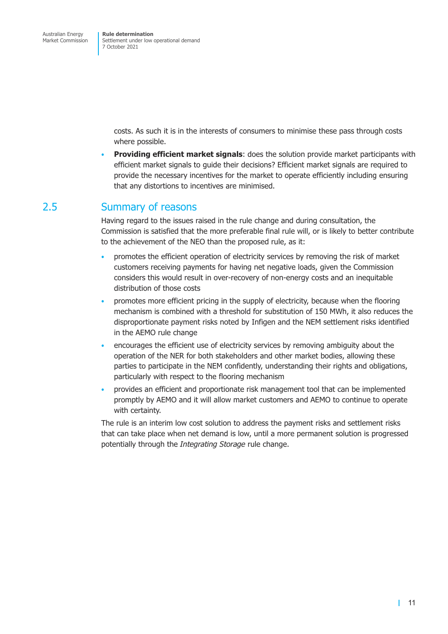> <span id="page-16-1"></span><span id="page-16-0"></span>costs. As such it is in the interests of consumers to minimise these pass through costs where possible.

• **Providing efficient market signals**: does the solution provide market participants with efficient market signals to guide their decisions? Efficient market signals are required to provide the necessary incentives for the market to operate efficiently including ensuring that any distortions to incentives are minimised.

### 2.5 Summary of reasons

Having regard to the issues raised in the rule change and during consultation, the Commission is satisfied that the more preferable final rule will, or is likely to better contribute to the achievement of the NEO than the proposed rule, as it:

- promotes the efficient operation of electricity services by removing the risk of market customers receiving payments for having net negative loads, given the Commission considers this would result in over-recovery of non-energy costs and an inequitable distribution of those costs
- promotes more efficient pricing in the supply of electricity, because when the flooring mechanism is combined with a threshold for substitution of 150 MWh, it also reduces the disproportionate payment risks noted by Infigen and the NEM settlement risks identified in the AEMO rule change
- encourages the efficient use of electricity services by removing ambiguity about the operation of the NER for both stakeholders and other market bodies, allowing these parties to participate in the NEM confidently, understanding their rights and obligations, particularly with respect to the flooring mechanism
- provides an efficient and proportionate risk management tool that can be implemented promptly by AEMO and it will allow market customers and AEMO to continue to operate with certainty.

The rule is an interim low cost solution to address the payment risks and settlement risks that can take place when net demand is low, until a more permanent solution is progressed potentially through the *Integrating Storage* rule change.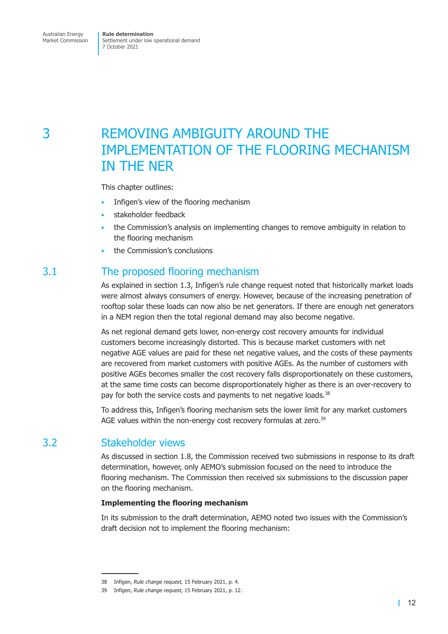## <span id="page-17-0"></span>3 REMOVING AMBIGUITY AROUND THE IMPLEMENTATION OF THE FLOORING MECHANISM IN THE NER

This chapter outlines:

- Infigen's view of the flooring mechanism
- stakeholder feedback
- the Commission's analysis on implementing changes to remove ambiguity in relation to the flooring mechanism
- the Commission's conclusions

## 3.1 The proposed flooring mechanism

As explained in [section 1.3,](#page-7-2) Infigen's rule change request noted that historically market loads were almost always consumers of energy. However, because of the increasing penetration of rooftop solar these loads can now also be net generators. If there are enough net generators in a NEM region then the total regional demand may also become negative.

As net regional demand gets lower, non-energy cost recovery amounts for individual customers become increasingly distorted. This is because market customers with net negative AGE values are paid for these net negative values, and the costs of these payments are recovered from market customers with positive AGEs. As the number of customers with positive AGEs becomes smaller the cost recovery falls disproportionately on these customers, at the same time costs can become disproportionately higher as there is an over-recovery to pay for both the service costs and payments to net negative loads.<sup>38</sup>

To address this, Infigen's flooring mechanism sets the lower limit for any market customers AGE values within the non-energy cost recovery formulas at zero.<sup>39</sup>

## 3.2 Stakeholder views

As discussed in [section 1.8,](#page-10-2) the Commission received two submissions in response to its draft determination, however, only AEMO's submission focused on the need to introduce the flooring mechanism. The Commission then received six submissions to the discussion paper on the flooring mechanism.

### **Implementing the flooring mechanism**

In its submission to the draft determination, AEMO noted two issues with the Commission's draft decision not to implement the flooring mechanism:

<sup>38</sup> Infigen, *Rule change request,* 15 February 2021, p. 4.

<sup>39</sup> Infigen, *Rule change request,* 15 February 2021, p. 12.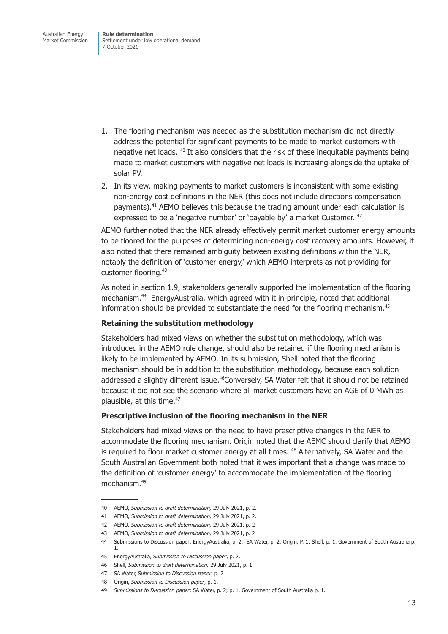- 1. The flooring mechanism was needed as the substitution mechanism did not directly address the potential for significant payments to be made to market customers with negative net loads. 40 It also considers that the risk of these inequitable payments being made to market customers with negative net loads is increasing alongside the uptake of solar PV.
- 2. In its view, making payments to market customers is inconsistent with some existing non-energy cost definitions in the NER (this does not include directions compensation payments).41 AEMO believes this because the trading amount under each calculation is expressed to be a 'negative number' or 'payable by' a market Customer. <sup>42</sup>

AEMO further noted that the NER already effectively permit market customer energy amounts to be floored for the purposes of determining non-energy cost recovery amounts. However, it also noted that there remained ambiguity between existing definitions within the NER, notably the definition of 'customer energy,' which AEMO interprets as not providing for customer flooring.43

As noted in [section 1.9,](#page-11-1) stakeholders generally supported the implementation of the flooring mechanism.44 EnergyAustralia, which agreed with it in-principle, noted that additional information should be provided to substantiate the need for the flooring mechanism.<sup>45</sup>

### **Retaining the substitution methodology**

Stakeholders had mixed views on whether the substitution methodology, which was introduced in the AEMO rule change, should also be retained if the flooring mechanism is likely to be implemented by AEMO. In its submission, Shell noted that the flooring mechanism should be in addition to the substitution methodology, because each solution addressed a slightly different issue.<sup>46</sup>Conversely, SA Water felt that it should not be retained because it did not see the scenario where all market customers have an AGE of 0 MWh as plausible, at this time.<sup>47</sup>

### **Prescriptive inclusion of the flooring mechanism in the NER**

Stakeholders had mixed views on the need to have prescriptive changes in the NER to accommodate the flooring mechanism. Origin noted that the AEMC should clarify that AEMO is required to floor market customer energy at all times.<sup>48</sup> Alternatively, SA Water and the South Australian Government both noted that it was important that a change was made to the definition of 'customer energy' to accommodate the implementation of the flooring mechanism.49

<sup>40</sup> AEMO, *Submission to draft determination,* 29 July 2021, p. 2.

<sup>41</sup> AEMO, *Submission to draft determination,* 29 July 2021, p. 2.

<sup>42</sup> AEMO, *Submission to draft determination,* 29 July 2021, p. 2

<sup>43</sup> AEMO, *Submission to draft determination,* 29 July 2021, p. 2

<sup>44</sup> Submissions to Discussion paper: EnergyAustralia, p. 2; SA Water, p. 2; Origin, P. 1; Shell, p. 1. Government of South Australia p. 1.

<sup>45</sup> EnergyAustralia, S*ubmission to Discussion paper*, p. 2.

<sup>46</sup> Shell, *Submission to draft determination,* 29 July 2021, p. 1.

<sup>47</sup> SA Water, S*ubmission to Discussion paper*, p. 2

<sup>48</sup> Origin, *Submission to Discussion paper*, p. 1.

<sup>49</sup> *Submissions to Discussion paper*: SA Water, p. 2; p. 1. Government of South Australia p. 1.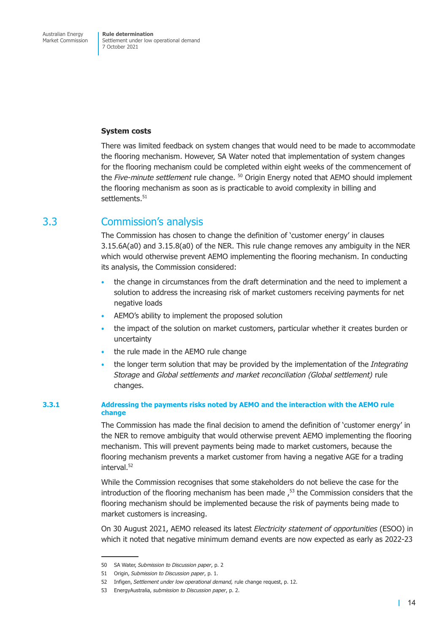#### <span id="page-19-0"></span>**System costs**

There was limited feedback on system changes that would need to be made to accommodate the flooring mechanism. However, SA Water noted that implementation of system changes for the flooring mechanism could be completed within eight weeks of the commencement of the *Five-minute settlement* rule change. 50 Origin Energy noted that AEMO should implement the flooring mechanism as soon as is practicable to avoid complexity in billing and settlements.<sup>51</sup>

### 3.3 Commission's analysis

The Commission has chosen to change the definition of 'customer energy' in clauses 3.15.6A(a0) and 3.15.8(a0) of the NER. This rule change removes any ambiguity in the NER which would otherwise prevent AEMO implementing the flooring mechanism. In conducting its analysis, the Commission considered:

- the change in circumstances from the draft determination and the need to implement a solution to address the increasing risk of market customers receiving payments for net negative loads
- AEMO's ability to implement the proposed solution
- the impact of the solution on market customers, particular whether it creates burden or uncertainty
- the rule made in the AEMO rule change
- the longer term solution that may be provided by the implementation of the *Integrating Storage* and *Global settlements and market reconciliation (Global settlement)* rule changes.

### **3.3.1 Addressing the payments risks noted by AEMO and the interaction with the AEMO rule change**

The Commission has made the final decision to amend the definition of 'customer energy' in the NER to remove ambiguity that would otherwise prevent AEMO implementing the flooring mechanism. This will prevent payments being made to market customers, because the flooring mechanism prevents a market customer from having a negative AGE for a trading  $int$ erval $52$ 

While the Commission recognises that some stakeholders do not believe the case for the introduction of the flooring mechanism has been made  $<sup>53</sup>$  the Commission considers that the</sup> flooring mechanism should be implemented because the risk of payments being made to market customers is increasing.

On 30 August 2021, AEMO released its latest *Electricity statement of opportunities* (ESOO) in which it noted that negative minimum demand events are now expected as early as 2022-23

<sup>50</sup> SA Water, *Submission to Discussion paper*, p. 2

<sup>51</sup> Origin, *Submission to Discussion paper*, p. 1.

<sup>52</sup> Infigen, *Settlement under low operational demand,* rule change request, p. 12.

<sup>53</sup> EnergyAustralia, *submission to Discussion paper*, p. 2.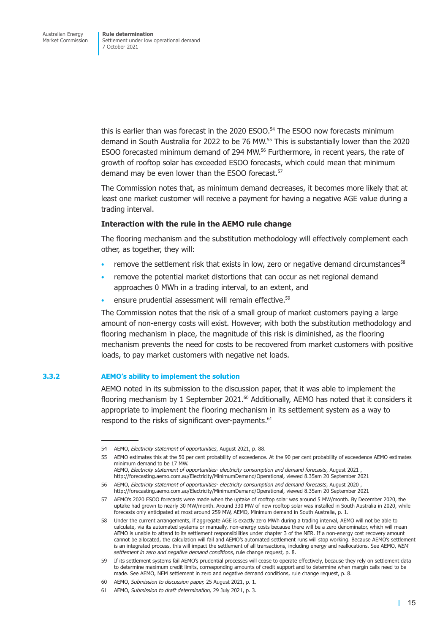this is earlier than was forecast in the  $2020$  ESOO.<sup>54</sup> The ESOO now forecasts minimum demand in South Australia for 2022 to be 76 MW.55 This is substantially lower than the 2020 ESOO forecasted minimum demand of 294 MW.<sup>56</sup> Furthermore, in recent years, the rate of growth of rooftop solar has exceeded ESOO forecasts, which could mean that minimum demand may be even lower than the ESOO forecast.<sup>57</sup>

The Commission notes that, as minimum demand decreases, it becomes more likely that at least one market customer will receive a payment for having a negative AGE value during a trading interval.

#### **Interaction with the rule in the AEMO rule change**

The flooring mechanism and the substitution methodology will effectively complement each other, as together, they will:

- remove the settlement risk that exists in low, zero or negative demand circumstances<sup>58</sup>
- remove the potential market distortions that can occur as net regional demand approaches 0 MWh in a trading interval, to an extent, and
- ensure prudential assessment will remain effective.<sup>59</sup>

The Commission notes that the risk of a small group of market customers paying a large amount of non-energy costs will exist. However, with both the substitution methodology and flooring mechanism in place, the magnitude of this risk is diminished, as the flooring mechanism prevents the need for costs to be recovered from market customers with positive loads, to pay market customers with negative net loads.

### **3.3.2 AEMO's ability to implement the solution**

AEMO noted in its submission to the discussion paper, that it was able to implement the flooring mechanism by 1 September 2021. $^{60}$  Additionally, AEMO has noted that it considers it appropriate to implement the flooring mechanism in its settlement system as a way to respond to the risks of significant over-payments.<sup>61</sup>

<sup>54</sup> AEMO, *Electricity statement of opportunities*, August 2021, p. 88.

<sup>55</sup> AEMO estimates this at the 50 per cent probability of exceedence. At the 90 per cent probability of exceedence AEMO estimates minimum demand to be 17 MW.

AEMO, *Electricity statement of opportunities- electricity consumption and demand forecasts*, August 2021 , http://forecasting.aemo.com.au/Electricity/MinimumDemand/Operational, viewed 8.35am 20 September 2021

<sup>56</sup> AEMO, *Electricity statement of opportunities- electricity consumption and demand forecasts*, August 2020 , http://forecasting.aemo.com.au/Electricity/MinimumDemand/Operational, viewed 8.35am 20 September 2021

<sup>57</sup> AEMO's 2020 ESOO forecasts were made when the uptake of rooftop solar was around 5 MW/month. By December 2020, the uptake had grown to nearly 30 MW/month. Around 330 MW of new rooftop solar was installed in South Australia in 2020, while forecasts only anticipated at most around 259 MW, AEMO, Minimum demand in South Australia, p. 1.

<sup>58</sup> Under the current arrangements, if aggregate AGE is exactly zero MWh during a trading interval, AEMO will not be able to calculate, via its automated systems or manually, non-energy costs because there will be a zero denominator, which will mean AEMO is unable to attend to its settlement responsibilities under chapter 3 of the NER. If a non-energy cost recovery amount cannot be allocated, the calculation will fail and AEMO's automated settlement runs will stop working. Because AEMO's settlement is an integrated process, this will impact the settlement of all transactions, including energy and reallocations. See AEMO, *NEM settlement in zero and negative demand conditions*, rule change request, p. 8.

<sup>59</sup> If its settlement systems fail AEMO's prudential processes will cease to operate effectively, because they rely on settlement data to determine maximum credit limits, corresponding amounts of credit support and to determine when margin calls need to be made. See AEMO, NEM settlement in zero and negative demand conditions, rule change request, p. 8.

<sup>60</sup> AEMO, *Submission to discussion paper,* 25 August 2021, p. 1.

<sup>61</sup> AEMO, *Submission to draft determination,* 29 July 2021, p. 3.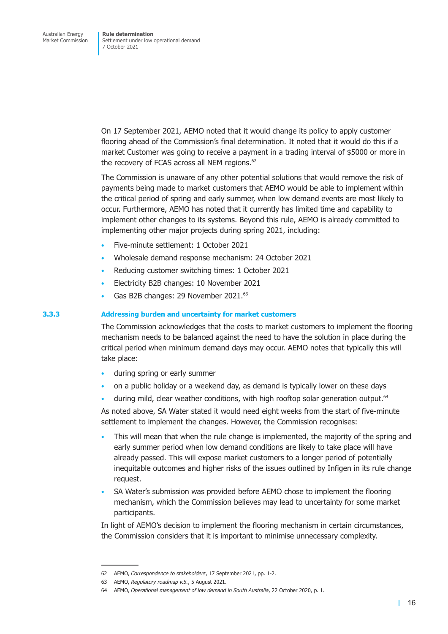On 17 September 2021, AEMO noted that it would change its policy to apply customer flooring ahead of the Commission's final determination. It noted that it would do this if a market Customer was going to receive a payment in a trading interval of \$5000 or more in the recovery of FCAS across all NEM regions.<sup>62</sup>

The Commission is unaware of any other potential solutions that would remove the risk of payments being made to market customers that AEMO would be able to implement within the critical period of spring and early summer, when low demand events are most likely to occur. Furthermore, AEMO has noted that it currently has limited time and capability to implement other changes to its systems. Beyond this rule, AEMO is already committed to implementing other major projects during spring 2021, including:

- Five-minute settlement: 1 October 2021
- Wholesale demand response mechanism: 24 October 2021
- Reducing customer switching times: 1 October 2021
- Electricity B2B changes: 10 November 2021
- Gas B2B changes: 29 November 2021.<sup>63</sup>

#### **3.3.3 Addressing burden and uncertainty for market customers**

The Commission acknowledges that the costs to market customers to implement the flooring mechanism needs to be balanced against the need to have the solution in place during the critical period when minimum demand days may occur. AEMO notes that typically this will take place:

- during spring or early summer
- on a public holiday or a weekend day, as demand is typically lower on these days
- during mild, clear weather conditions, with high rooftop solar generation output.<sup>64</sup>

As noted above, SA Water stated it would need eight weeks from the start of five-minute settlement to implement the changes. However, the Commission recognises:

- This will mean that when the rule change is implemented, the majority of the spring and early summer period when low demand conditions are likely to take place will have already passed. This will expose market customers to a longer period of potentially inequitable outcomes and higher risks of the issues outlined by Infigen in its rule change request.
- SA Water's submission was provided before AEMO chose to implement the flooring mechanism, which the Commission believes may lead to uncertainty for some market participants.

In light of AEMO's decision to implement the flooring mechanism in certain circumstances, the Commission considers that it is important to minimise unnecessary complexity.

<sup>62</sup> AEMO, *Correspondence to stakeholders*, 17 September 2021, pp. 1-2.

<sup>63</sup> AEMO, *Regulatory roadmap v.5.*, 5 August 2021.

<sup>64</sup> AEMO, *Operational management of low demand in South Australia*, 22 October 2020, p. 1.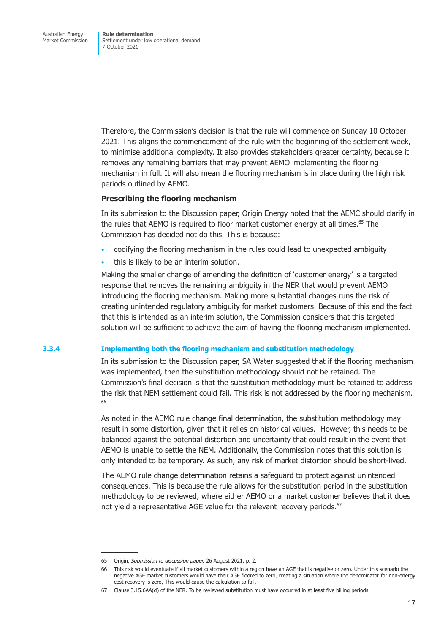Therefore, the Commission's decision is that the rule will commence on Sunday 10 October 2021. This aligns the commencement of the rule with the beginning of the settlement week, to minimise additional complexity. It also provides stakeholders greater certainty, because it removes any remaining barriers that may prevent AEMO implementing the flooring mechanism in full. It will also mean the flooring mechanism is in place during the high risk periods outlined by AEMO.

#### **Prescribing the flooring mechanism**

In its submission to the Discussion paper, Origin Energy noted that the AEMC should clarify in the rules that AEMO is required to floor market customer energy at all times.<sup>65</sup> The Commission has decided not do this. This is because:

- codifying the flooring mechanism in the rules could lead to unexpected ambiguity
- this is likely to be an interim solution.

Making the smaller change of amending the definition of 'customer energy' is a targeted response that removes the remaining ambiguity in the NER that would prevent AEMO introducing the flooring mechanism. Making more substantial changes runs the risk of creating unintended regulatory ambiguity for market customers. Because of this and the fact that this is intended as an interim solution, the Commission considers that this targeted solution will be sufficient to achieve the aim of having the flooring mechanism implemented.

### **3.3.4 Implementing both the flooring mechanism and substitution methodology**

In its submission to the Discussion paper, SA Water suggested that if the flooring mechanism was implemented, then the substitution methodology should not be retained. The Commission's final decision is that the substitution methodology must be retained to address the risk that NEM settlement could fail. This risk is not addressed by the flooring mechanism. 66

As noted in the AEMO rule change final determination, the substitution methodology may result in some distortion, given that it relies on historical values. However, this needs to be balanced against the potential distortion and uncertainty that could result in the event that AEMO is unable to settle the NEM. Additionally, the Commission notes that this solution is only intended to be temporary. As such, any risk of market distortion should be short-lived.

The AEMO rule change determination retains a safeguard to protect against unintended consequences. This is because the rule allows for the substitution period in the substitution methodology to be reviewed, where either AEMO or a market customer believes that it does not yield a representative AGE value for the relevant recovery periods.<sup>67</sup>

<sup>65</sup> Origin, *Submission to discussion paper,* 26 August 2021, p. 2.

<sup>66</sup> This risk would eventuate if all market customers within a region have an AGE that is negative or zero. Under this scenario the negative AGE market customers would have their AGE floored to zero, creating a situation where the denominator for non-energy cost recovery is zero, This would cause the calculation to fail.

<sup>67</sup> Clause 3.15.6AA(d) of the NER. To be reviewed substitution must have occurred in at least five billing periods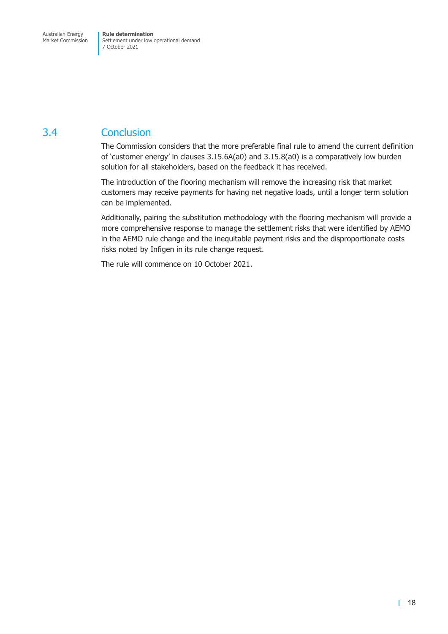## <span id="page-23-0"></span>3.4 Conclusion

The Commission considers that the more preferable final rule to amend the current definition of 'customer energy' in clauses 3.15.6A(a0) and 3.15.8(a0) is a comparatively low burden solution for all stakeholders, based on the feedback it has received.

The introduction of the flooring mechanism will remove the increasing risk that market customers may receive payments for having net negative loads, until a longer term solution can be implemented.

Additionally, pairing the substitution methodology with the flooring mechanism will provide a more comprehensive response to manage the settlement risks that were identified by AEMO in the AEMO rule change and the inequitable payment risks and the disproportionate costs risks noted by Infigen in its rule change request.

The rule will commence on 10 October 2021.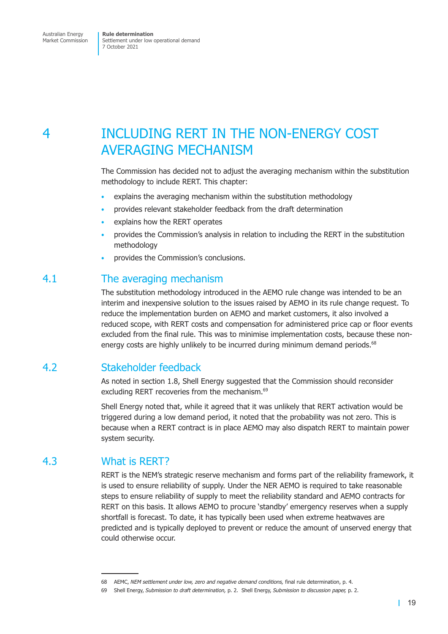## <span id="page-24-0"></span>4 INCLUDING RERT IN THE NON-ENERGY COST AVERAGING MECHANISM

The Commission has decided not to adjust the averaging mechanism within the substitution methodology to include RERT. This chapter:

- explains the averaging mechanism within the substitution methodology
- provides relevant stakeholder feedback from the draft determination
- explains how the RERT operates
- provides the Commission's analysis in relation to including the RERT in the substitution methodology
- provides the Commission's conclusions.

### 4.1 The averaging mechanism

The substitution methodology introduced in the AEMO rule change was intended to be an interim and inexpensive solution to the issues raised by AEMO in its rule change request. To reduce the implementation burden on AEMO and market customers, it also involved a reduced scope, with RERT costs and compensation for administered price cap or floor events excluded from the final rule. This was to minimise implementation costs, because these nonenergy costs are highly unlikely to be incurred during minimum demand periods.<sup>68</sup>

## 4.2 Stakeholder feedback

As noted in [section 1.8,](#page-10-2) Shell Energy suggested that the Commission should reconsider excluding RERT recoveries from the mechanism.<sup>69</sup>

Shell Energy noted that, while it agreed that it was unlikely that RERT activation would be triggered during a low demand period, it noted that the probability was not zero. This is because when a RERT contract is in place AEMO may also dispatch RERT to maintain power system security.

## 4.3 What is RERT?

RERT is the NEM's strategic reserve mechanism and forms part of the reliability framework, it is used to ensure reliability of supply. Under the NER AEMO is required to take reasonable steps to ensure reliability of supply to meet the reliability standard and AEMO contracts for RERT on this basis. It allows AEMO to procure 'standby' emergency reserves when a supply shortfall is forecast. To date, it has typically been used when extreme heatwaves are predicted and is typically deployed to prevent or reduce the amount of unserved energy that could otherwise occur.

<sup>68</sup> AEMC, *NEM settlement under low, zero and negative demand conditions,* final rule determination, p. 4.

<sup>69</sup> Shell Energy, *Submission to draft determination,* p. 2.Shell Energy, *Submission to discussion paper,* p. 2.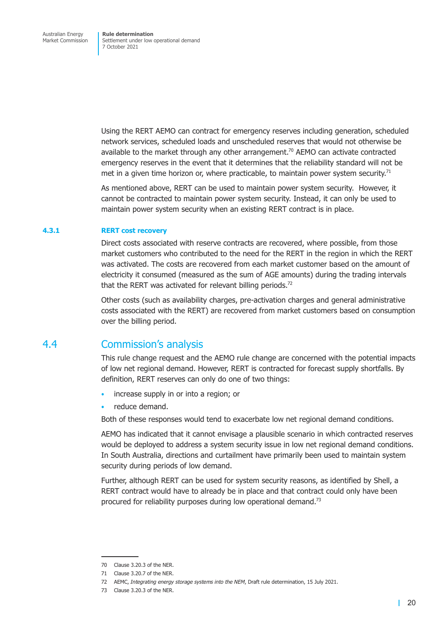<span id="page-25-0"></span>Using the RERT AEMO can contract for emergency reserves including generation, scheduled network services, scheduled loads and unscheduled reserves that would not otherwise be available to the market through any other arrangement.<sup>70</sup> AEMO can activate contracted emergency reserves in the event that it determines that the reliability standard will not be met in a given time horizon or, where practicable, to maintain power system security.<sup>71</sup>

As mentioned above, RERT can be used to maintain power system security. However, it cannot be contracted to maintain power system security. Instead, it can only be used to maintain power system security when an existing RERT contract is in place.

#### **4.3.1 RERT cost recovery**

<span id="page-25-1"></span>Direct costs associated with reserve contracts are recovered, where possible, from those market customers who contributed to the need for the RERT in the region in which the RERT was activated. The costs are recovered from each market customer based on the amount of electricity it consumed (measured as the sum of AGE amounts) during the trading intervals that the RERT was activated for relevant billing periods.<sup>72</sup>

Other costs (such as availability charges, pre-activation charges and general administrative costs associated with the RERT) are recovered from market customers based on consumption over the billing period.

### 4.4 Commission's analysis

This rule change request and the AEMO rule change are concerned with the potential impacts of low net regional demand. However, RERT is contracted for forecast supply shortfalls. By definition, RERT reserves can only do one of two things:

- increase supply in or into a region; or
- reduce demand.

Both of these responses would tend to exacerbate low net regional demand conditions.

AEMO has indicated that it cannot envisage a plausible scenario in which contracted reserves would be deployed to address a system security issue in low net regional demand conditions. In South Australia, directions and curtailment have primarily been used to maintain system security during periods of low demand.

Further, although RERT can be used for system security reasons, as identified by Shell, a RERT contract would have to already be in place and that contract could only have been procured for reliability purposes during low operational demand.<sup>73</sup>

<sup>70</sup> Clause 3.20.3 of the NER.

<sup>71</sup> Clause 3.20.7 of the NER.

<sup>72</sup> AEMC, *Integrating energy storage systems into the NEM*, Draft rule determination, 15 July 2021.

<sup>73</sup> Clause 3.20.3 of the NER.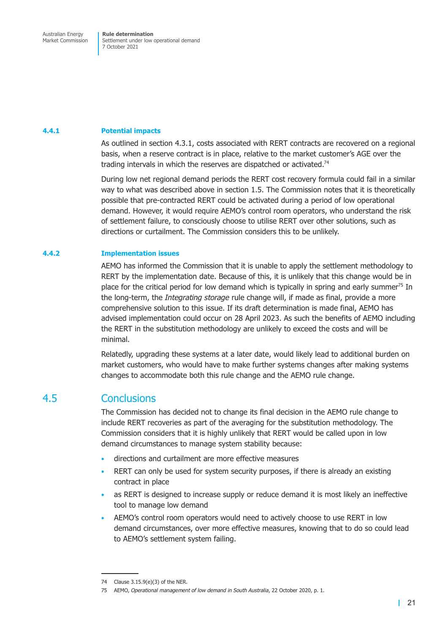#### <span id="page-26-0"></span>**4.4.1 Potential impacts**

As outlined in [section 4.3.1,](#page-25-1) costs associated with RERT contracts are recovered on a regional basis, when a reserve contract is in place, relative to the market customer's AGE over the trading intervals in which the reserves are dispatched or activated.<sup>74</sup>

During low net regional demand periods the RERT cost recovery formula could fail in a similar way to what was described above in [section 1.5.](#page-9-1) The Commission notes that it is theoretically possible that pre-contracted RERT could be activated during a period of low operational demand. However, it would require AEMO's control room operators, who understand the risk of settlement failure, to consciously choose to utilise RERT over other solutions, such as directions or curtailment. The Commission considers this to be unlikely.

#### **4.4.2 Implementation issues**

AEMO has informed the Commission that it is unable to apply the settlement methodology to RERT by the implementation date. Because of this, it is unlikely that this change would be in place for the critical period for low demand which is typically in spring and early summer<sup>75</sup> In the long-term, the *Integrating storage* rule change will, if made as final, provide a more comprehensive solution to this issue. If its draft determination is made final, AEMO has advised implementation could occur on 28 April 2023. As such the benefits of AEMO including the RERT in the substitution methodology are unlikely to exceed the costs and will be minimal.

Relatedly, upgrading these systems at a later date, would likely lead to additional burden on market customers, who would have to make further systems changes after making systems changes to accommodate both this rule change and the AEMO rule change.

### 4.5 Conclusions

The Commission has decided not to change its final decision in the AEMO rule change to include RERT recoveries as part of the averaging for the substitution methodology. The Commission considers that it is highly unlikely that RERT would be called upon in low demand circumstances to manage system stability because:

- directions and curtailment are more effective measures
- RERT can only be used for system security purposes, if there is already an existing contract in place
- as RERT is designed to increase supply or reduce demand it is most likely an ineffective tool to manage low demand
- AEMO's control room operators would need to actively choose to use RERT in low demand circumstances, over more effective measures, knowing that to do so could lead to AEMO's settlement system failing.

<sup>74</sup> Clause 3.15.9(e)(3) of the NER.

<sup>75</sup> AEMO, *Operational management of low demand in South Australia*, 22 October 2020, p. 1.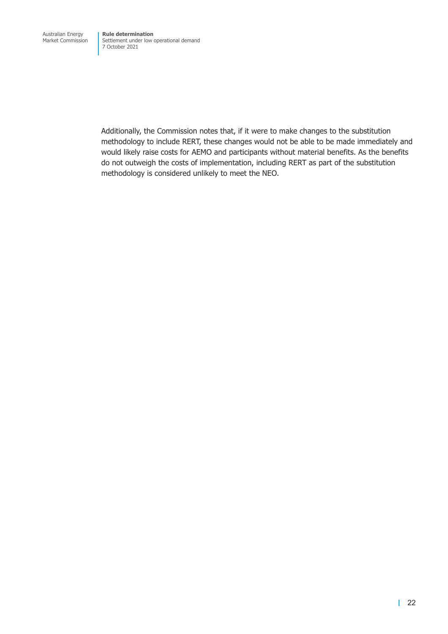Additionally, the Commission notes that, if it were to make changes to the substitution methodology to include RERT, these changes would not be able to be made immediately and would likely raise costs for AEMO and participants without material benefits. As the benefits do not outweigh the costs of implementation, including RERT as part of the substitution methodology is considered unlikely to meet the NEO.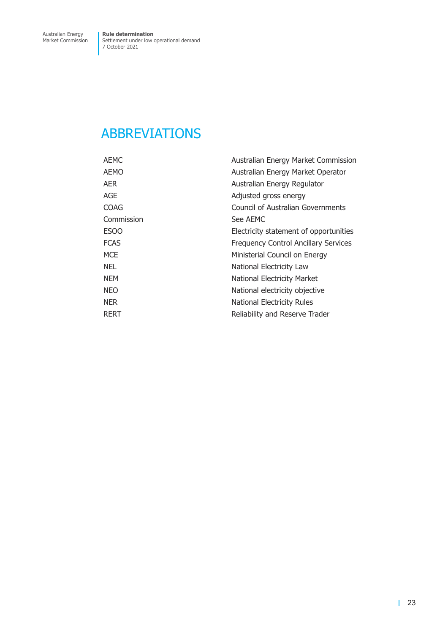## <span id="page-28-0"></span>ABBREVIATIONS

| <b>AEMC</b> | Australian Energy Market Commission         |
|-------------|---------------------------------------------|
| <b>AEMO</b> | Australian Energy Market Operator           |
| <b>AER</b>  | Australian Energy Regulator                 |
| AGE         | Adjusted gross energy                       |
| <b>COAG</b> | Council of Australian Governments           |
| Commission  | See AEMC                                    |
| <b>ESOO</b> | Electricity statement of opportunities      |
| <b>FCAS</b> | <b>Frequency Control Ancillary Services</b> |
| <b>MCE</b>  | Ministerial Council on Energy               |
| <b>NEL</b>  | National Electricity Law                    |
| <b>NEM</b>  | National Electricity Market                 |
| <b>NEO</b>  | National electricity objective              |
| <b>NER</b>  | <b>National Electricity Rules</b>           |
| <b>RERT</b> | Reliability and Reserve Trader              |
|             |                                             |